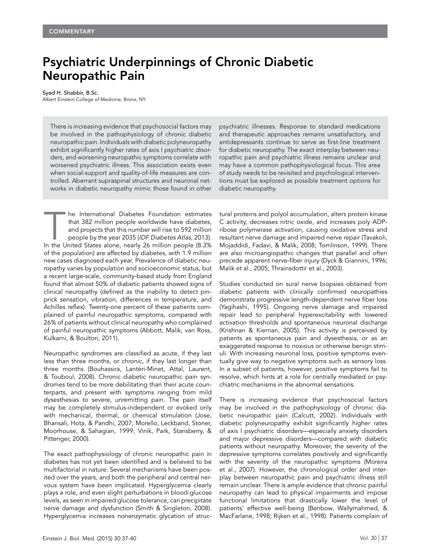## Psychiatric Underpinnings of Chronic Diabetic Neuropathic Pain

## Syed H. Shabbir, B.Sc.

Albert Einstein College of Medicine, Bronx, NY.

There is increasing evidence that psychosocial factors may be involved in the pathophysiology of chronic diabetic neuropathic pain. Individuals with diabetic polyneuropathy exhibit significantly higher rates of axis I psychiatric disorders, and worsening neuropathic symptoms correlate with worsened psychiatric illness. This association exists even when social-support and quality-of-life measures are controlled. Aberrant supraspinal structures and neuronal networks in diabetic neuropathy mimic those found in other

The International Diabetes Foundation estimates<br>
that 382 million people worldwide have diabetes,<br>
and projects that this number will rise to 592 million<br>
people by the year 2035 (IDF Diabetes Atlas, 2013).<br>
In the United that 382 million people worldwide have diabetes, and projects that this number will rise to 592 million people by the year 2035 (IDF Diabetes Atlas, 2013). of the population) are affected by diabetes, with 1.9 million new cases diagnosed each year. Prevalence of diabetic neuropathy varies by population and socioeconomic status, but a recent large-scale, community-based study from England found that almost 50% of diabetic patients showed signs of clinical neuropathy (defined as the inability to detect pinprick sensation, vibration, differences in temperature, and Achilles reflex). Twenty-one percent of these patients complained of painful neuropathic symptoms, compared with 26% of patients without clinical neuropathy who complained of painful neuropathic symptoms (Abbott, Malik, van Ross, Kulkarni, & Boulton, 2011).

Neuropathic syndromes are classified as acute, if they last less than three months, or chronic, if they last longer than three months (Bouhassira, Lantéri-Minet, Attal, Laurent, & Touboul, 2008). Chronic diabetic neuropathic pain syndromes tend to be more debilitating than their acute counterparts, and present with symptoms ranging from mild dysesthesias to severe, unremitting pain. The pain itself may be completely stimulus-independent or evoked only with mechanical, thermal, or chemical stimulation (Jose, Bhansali, Hota, & Pandhi, 2007; Morello, Leckband, Stoner, Moorhouse, & Sahagian, 1999; Vinik, Park, Stansberry, & Pittenger, 2000).

The exact pathophysiology of chronic neuropathic pain in diabetes has not yet been identified and is believed to be multifactorial in nature. Several mechanisms have been posited over the years, and both the peripheral and central nervous system have been implicated. Hyperglycemia clearly plays a role, and even slight perturbations in blood-glucose levels, as seen in impaired glucose tolerance, can precipitate nerve damage and dysfunction (Smith & Singleton, 2008). Hyperglycemia increases nonenzymatic glycation of strucpsychiatric illnesses. Response to standard medications and therapeutic approaches remains unsatisfactory, and antidepressants continue to serve as first-line treatment for diabetic neuropathy. The exact interplay between neuropathic pain and psychiatric illness remains unclear and may have a common pathophysiological focus. This area of study needs to be revisited and psychological interventions must be explored as possible treatment options for diabetic neuropathy.

tural proteins and polyol accumulation, alters protein kinase C activity, decreases nitric oxide, and increases poly ADPribose polymerase activation, causing oxidative stress and resultant nerve damage and impaired nerve repair (Tavakoli, Mojaddidi, Fadavi, & Malik, 2008; Tomlinson, 1999). There are also microangiopathic changes that parallel and often precede apparent nerve-fiber injury (Dyck & Giannini, 1996; Malik et al., 2005; Thrainsdottir et al., 2003).

Studies conducted on sural nerve biopsies obtained from diabetic patients with clinically confirmed neuropathies demonstrate progressive length-dependent nerve fiber loss (Yagihashi, 1995). Ongoing nerve damage and impaired repair lead to peripheral hyperexcitability with lowered activation thresholds and spontaneous neuronal discharge (Krishnan & Kiernan, 2005). This activity is perceived by patients as spontaneous pain and dysesthesia, or as an exaggerated response to noxious or otherwise benign stimuli. With increasing neuronal loss, positive symptoms eventually give way to negative symptoms such as sensory loss. In a subset of patients, however, positive symptoms fail to resolve, which hints at a role for centrally mediated or psychiatric mechanisms in the abnormal sensations.

There is increasing evidence that psychosocial factors may be involved in the pathophysiology of chronic diabetic neuropathic pain (Calcutt, 2002). Individuals with diabetic polyneuropathy exhibit significantly higher rates of axis I psychiatric disorders—especially anxiety disorders and major depressive disorders—compared with diabetic patients without neuropathy. Moreover, the severity of the depressive symptoms correlates positively and significantly with the severity of the neuropathic symptoms (Moreira et al., 2007). However, the chronological order and interplay between neuropathic pain and psychiatric illness still remain unclear. There is ample evidence that chronic painful neuropathy can lead to physical impairments and impose functional limitations that drastically lower the level of patients' effective well-being (Benbow, Wallymahmed, & MacFarlane, 1998; Rijken et al., 1998). Patients complain of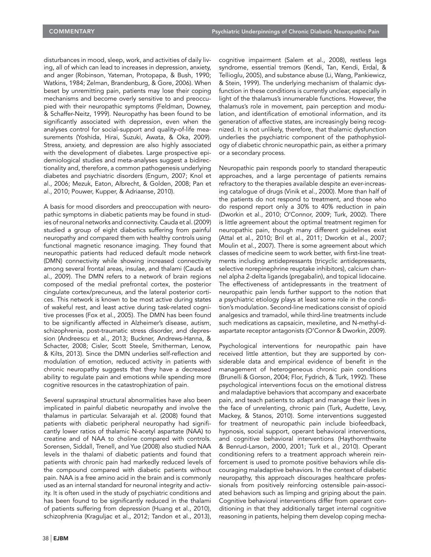disturbances in mood, sleep, work, and activities of daily living, all of which can lead to increases in depression, anxiety, and anger (Robinson, Yateman, Protopapa, & Bush, 1990; Watkins, 1984; Zelman, Brandenburg, & Gore, 2006). When beset by unremitting pain, patients may lose their coping mechanisms and become overly sensitive to and preoccupied with their neuropathic symptoms (Feldman, Downey, & Schaffer-Neitz, 1999). Neuropathy has been found to be significantly associated with depression, even when the analyses control for social-support and quality-of-life measurements (Yoshida, Hirai, Suzuki, Awata, & Oka, 2009). Stress, anxiety, and depression are also highly associated with the development of diabetes. Large prospective epidemiological studies and meta-analyses suggest a bidirectionality and, therefore, a common pathogenesis underlying diabetes and psychiatric disorders (Engum, 2007; Knol et al., 2006; Mezuk, Eaton, Albrecht, & Golden, 2008; Pan et al., 2010; Pouwer, Kupper, & Adriaanse, 2010).

A basis for mood disorders and preoccupation with neuropathic symptoms in diabetic patients may be found in studies of neuronal networks and connectivity. Cauda et al. (2009) studied a group of eight diabetics suffering from painful neuropathy and compared them with healthy controls using functional magnetic resonance imaging. They found that neuropathic patients had reduced default mode network (DMN) connectivity while showing increased connectivity among several frontal areas, insulae, and thalami (Cauda et al., 2009). The DMN refers to a network of brain regions composed of the medial prefrontal cortex, the posterior cingulate cortex/precuneus, and the lateral posterior cortices. This network is known to be most active during states of wakeful rest, and least active during task-related cognitive processes (Fox et al., 2005). The DMN has been found to be significantly affected in Alzheimer's disease, autism, schizophrenia, post-traumatic stress disorder, and depression (Andreescu et al., 2013; Buckner, Andrews-Hanna, & Schacter, 2008; Cisler, Scott Steele, Smitherman, Lenow, & Kilts, 2013). Since the DMN underlies self-reflection and modulation of emotion, reduced activity in patients with chronic neuropathy suggests that they have a decreased ability to regulate pain and emotions while spending more cognitive resources in the catastrophization of pain.

Several supraspinal structural abnormalities have also been implicated in painful diabetic neuropathy and involve the thalamus in particular. Selvarajah et al. (2008) found that patients with diabetic peripheral neuropathy had significantly lower ratios of thalamic N-acetyl aspartate (NAA) to creatine and of NAA to choline compared with controls. Sorensen, Siddall, Trenell, and Yue (2008) also studied NAA levels in the thalami of diabetic patients and found that patients with chronic pain had markedly reduced levels of the compound compared with diabetic patients without pain. NAA is a free amino acid in the brain and is commonly used as an internal standard for neuronal integrity and activity. It is often used in the study of psychiatric conditions and has been found to be significantly reduced in the thalami of patients suffering from depression (Huang et al., 2010), schizophrenia (Kraguljac et al., 2012; Tandon et al., 2013),

cognitive impairment (Salem et al., 2008), restless legs syndrome, essential tremors (Kendi, Tan, Kendi, Erdal, & Tellioglu, 2005), and substance abuse (Li, Wang, Pankiewicz, & Stein, 1999). The underlying mechanism of thalamic dysfunction in these conditions is currently unclear, especially in light of the thalamus's innumerable functions. However, the thalamus's role in movement, pain perception and modulation, and identification of emotional information, and its generation of affective states, are increasingly being recognized. It is not unlikely, therefore, that thalamic dysfunction underlies the psychiatric component of the pathophysiology of diabetic chronic neuropathic pain, as either a primary or a secondary process.

Neuropathic pain responds poorly to standard therapeutic approaches, and a large percentage of patients remains refractory to the therapies available despite an ever-increasing catalogue of drugs (Vinik et al., 2000). More than half of the patients do not respond to treatment, and those who do respond report only a 30% to 40% reduction in pain (Dworkin et al., 2010; O'Connor, 2009; Turk, 2002). There is little agreement about the optimal treatment regimen for neuropathic pain, though many different guidelines exist (Attal et al., 2010; Bril et al., 2011; Dworkin et al., 2007; Moulin et al., 2007). There is some agreement about which classes of medicine seem to work better, with first-line treatments including antidepressants (tricyclic antidepressants, selective norepinephrine reuptake inhibitors), calcium channel alpha 2-delta ligands (pregabalin), and topical lidocaine. The effectiveness of antidepressants in the treatment of neuropathic pain lends further support to the notion that a psychiatric etiology plays at least some role in the condition's modulation. Second-line medications consist of opioid analgesics and tramadol, while third-line treatments include such medications as capsaicin, mexiletine, and N-methyl-daspartate receptor antagonists (O'Connor & Dworkin, 2009).

Psychological interventions for neuropathic pain have received little attention, but they are supported by considerable data and empirical evidence of benefit in the management of heterogeneous chronic pain conditions (Brunelli & Gorson, 2004; Flor, Fydrich, & Turk, 1992). These psychological interventions focus on the emotional distress and maladaptive behaviors that accompany and exacerbate pain, and teach patients to adapt and manage their lives in the face of unrelenting, chronic pain (Turk, Audette, Levy, Mackey, & Stanos, 2010). Some interventions suggested for treatment of neuropathic pain include biofeedback, hypnosis, social support, operant behavioral interventions, and cognitive behavioral interventions (Haythornthwaite & Benrud-Larson, 2000, 2001; Turk et al., 2010). Operant conditioning refers to a treatment approach wherein reinforcement is used to promote positive behaviors while discouraging maladaptive behaviors. In the context of diabetic neuropathy, this approach discourages healthcare professionals from positively reinforcing ostensible pain-associated behaviors such as limping and griping about the pain. Cognitive behavioral interventions differ from operant conditioning in that they additionally target internal cognitive reasoning in patients, helping them develop coping mecha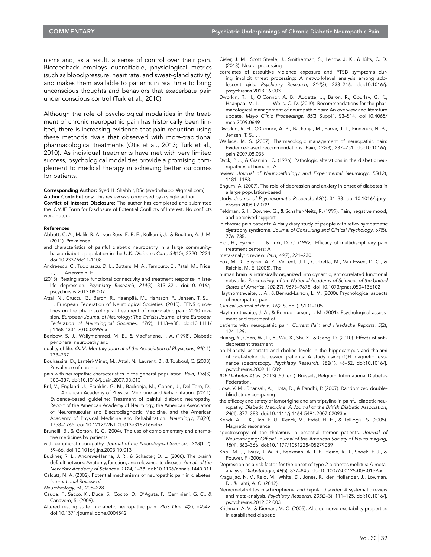nisms and, as a result, a sense of control over their pain. Biofeedback employs quantifiable, physiological metrics (such as blood pressure, heart rate, and sweat-gland activity) and makes them available to patients in real time to bring unconscious thoughts and behaviors that exacerbate pain under conscious control (Turk et al., 2010).

Although the role of psychological modalities in the treatment of chronic neuropathic pain has historically been limited, there is increasing evidence that pain reduction using these methods rivals that observed with more-traditional pharmacological treatments (Otis et al., 2013; Turk et al., 2010). As individual treatments have met with very limited success, psychological modalities provide a promising complement to medical therapy in achieving better outcomes for patients.

Corresponding Author: Syed H. Shabbir, BSc (syedhshabbir@gmail.com). Author Contributions: This review was composed by a single author.

Conflict of Interest Disclosure: The author has completed and submitted the ICMJE Form for Disclosure of Potential Conflicts of Interest. No conflicts were noted.

## References

- Abbott, C. A., Malik, R. A., van Ross, E. R. E., Kulkarni, J., & Boulton, A. J. M. (2011). Prevalence
- and characteristics of painful diabetic neuropathy in a large communitybased diabetic population in the U.K. Diabetes Care, 34(10), 2220–2224. doi:10.2337/dc11-1108
- Andreescu, C., Tudorascu, D. L., Butters, M. A., Tamburo, E., Patel, M., Price, J., . . . Aizenstein, H.
- (2013). Resting state functional connectivity and treatment response in latelife depression. Psychiatry Research, 214(3), 313–321. doi:10.1016/j. pscychresns.2013.08.007
- Attal, N., Cruccu, G., Baron, R., Haanpää, M., Hansson, P., Jensen, T. S., . . European Federation of Neurological Societies. (2010). EFNS guidelines on the pharmacological treatment of neuropathic pain: 2010 revision. European Journal of Neurology: The Official Journal of the European Federation of Neurological Societies, 17(9), 1113–e88. doi:10.1111/ j.1468-1331.2010.02999.x
- Benbow, S. J., Wallymahmed, M. E., & MacFarlane, I. A. (1998). Diabetic peripheral neuropathy and
- quality of life. QJM: Monthly Journal of the Association of Physicians, 91(11), 733–737.
- Bouhassira, D., Lantéri-Minet, M., Attal, N., Laurent, B., & Touboul, C. (2008). Prevalence of chronic
- pain with neuropathic characteristics in the general population. Pain, 136(3), 380–387. doi:10.1016/j.pain.2007.08.013
- Bril, V., England, J., Franklin, G. M., Backonja, M., Cohen, J., Del Toro, D., American Academy of Physical Medicine and Rehabilitation. (2011). Evidence-based guideline: Treatment of painful diabetic neuropathy: Report of the American Academy of Neurology, the American Association of Neuromuscular and Electrodiagnostic Medicine, and the American Academy of Physical Medicine and Rehabilitation. Neurology, 76(20), 1758–1765. doi:10.1212/WNL.0b013e3182166ebe
- Brunelli, B., & Gorson, K. C. (2004). The use of complementary and alternative medicines by patients
- with peripheral neuropathy. Journal of the Neurological Sciences, 218(1-2), 59–66. doi:10.1016/j.jns.2003.10.013
- Buckner, R. L., Andrews-Hanna, J. R., & Schacter, D. L. (2008). The brain's default network: Anatomy, function, and relevance to disease. Annals of the New York Academy of Sciences, 1124, 1–38. doi:10.1196/annals.1440.011
- Calcutt, N. A. (2002). Potential mechanisms of neuropathic pain in diabetes. International Review of

Neurobiology, 50, 205–228.

- Cauda, F., Sacco, K., Duca, S., Cocito, D., D'Agata, F., Geminiani, G. C., & Canavero, S. (2009).
- Altered resting state in diabetic neuropathic pain. PloS One, 4(2), e4542. doi:10.1371/journal.pone.0004542
- Cisler, J. M., Scott Steele, J., Smitherman, S., Lenow, J. K., & Kilts, C. D. (2013). Neural processing
- correlates of assaultive violence exposure and PTSD symptoms during implicit threat processing: A network-level analysis among adolescent girls. Psychiatry Research, 214(3), 238–246. doi:10.1016/j. pscychresns.2013.06.003
- Dworkin, R. H., O'Connor, A. B., Audette, J., Baron, R., Gourlay, G. K., Haanpaa, M. L., . . . Wells, C. D. (2010). Recommendations for the pharmacological management of neuropathic pain: An overview and literature update. Mayo Clinic Proceedings, 85(3 Suppl.), S3–S14. doi:10.4065/ mcp.2009.0649
- Dworkin, R. H., O'Connor, A. B., Backonja, M., Farrar, J. T., Finnerup, N. B., Jensen, T. S., . . .
- Wallace, M. S. (2007). Pharmacologic management of neuropathic pain: Evidence-based recommendations. Pain, 132(3), 237–251. doi:10.1016/j. pain.2007.08.033
- Dyck, P. J., & Giannini, C. (1996). Pathologic alterations in the diabetic neuropathies of humans: A
- review. Journal of Neuropathology and Experimental Neurology, 55(12), 1181–1193.
- Engum, A. (2007). The role of depression and anxiety in onset of diabetes in a large population-based
- study. Journal of Psychosomatic Research, 62(1), 31–38. doi:10.1016/j.jpsychores.2006.07.009
- Feldman, S. I., Downey, G., & Schaffer-Neitz, R. (1999). Pain, negative mood, and perceived support
- in chronic pain patients: A daily diary study of people with reflex sympathetic dystrophy syndrome. Journal of Consulting and Clinical Psychology, 67(5), 776–785.
- Flor, H., Fydrich, T., & Turk, D. C. (1992). Efficacy of multidisciplinary pain treatment centers: A
- meta-analytic review. Pain, 49(2), 221–230.
- Fox, M. D., Snyder, A. Z., Vincent, J. L., Corbetta, M., Van Essen, D. C., & Raichle, M. E. (2005). The
- human brain is intrinsically organized into dynamic, anticorrelated functional networks. Proceedings of the National Academy of Sciences of the United States of America, 102(27), 9673–9678. doi:10.1073/pnas.0504136102
- Haythornthwaite, J. A., & Benrud-Larson, L. M. (2000). Psychological aspects of neuropathic pain.
- Clinical Journal of Pain, 16(2 Suppl.), S101–105.
- Haythornthwaite, J. A., & Benrud-Larson, L. M. (2001). Psychological assessment and treatment of
- patients with neuropathic pain. Current Pain and Headache Reports, 5(2), 124–129.
- Huang, Y., Chen, W., Li, Y., Wu, X., Shi, X., & Geng, D. (2010). Effects of antidepressant treatment
- on N-acetyl aspartate and choline levels in the hippocampus and thalami of post-stroke depression patients: A study using (1)H magnetic resonance spectroscopy. Psychiatry Research, 182(1), 48–52. doi:10.1016/j. pscychresns.2009.11.009
- IDF Diabetes Atlas. (2013) (6th ed.). Brussels, Belgium: International Diabetes Federation.
- Jose, V. M., Bhansali, A., Hota, D., & Pandhi, P. (2007). Randomized doubleblind study comparing
- the efficacy and safety of lamotrigine and amitriptyline in painful diabetic neuropathy. Diabetic Medicine: A Journal of the British Diabetic Association, 24(4), 377–383. doi:10.1111/j.1464-5491.2007.02093.x
- Kendi, A. T. K., Tan, F. U., Kendi, M., Erdal, H. H., & Tellioglu, S. (2005). Magnetic resonance
- spectroscopy of the thalamus in essential tremor patients. Journal of Neuroimaging: Official Journal of the American Society of Neuroimaging, 15(4), 362–366. doi:10.1177/1051228405279039
- Knol, M. J., Twisk, J. W. R., Beekman, A. T. F., Heine, R. J., Snoek, F. J., & Pouwer, F. (2006).
- Depression as a risk factor for the onset of type 2 diabetes mellitus: A metaanalysis. Diabetologia, 49(5), 837–845. doi:10.1007/s00125-006-0159-x
- Kraguljac, N. V., Reid, M., White, D., Jones, R., den Hollander, J., Lowman, D., & Lahti, A. C. (2012).
- Neurometabolites in schizophrenia and bipolar disorder: A systematic review and meta-analysis. Psychiatry Research, 203(2–3), 111–125. doi:10.1016/j. pscychresns.2012.02.003
- Krishnan, A. V., & Kiernan, M. C. (2005). Altered nerve excitability properties in established diabetic